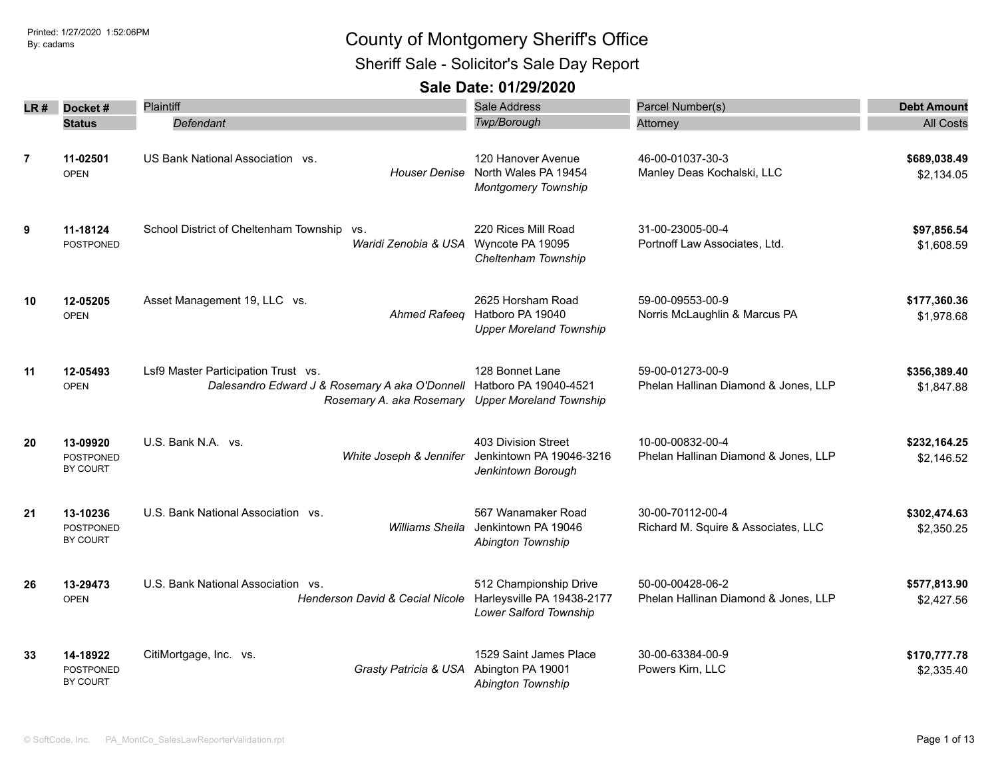Sheriff Sale - Solicitor's Sale Day Report

| LR #           | Docket#                                  | Plaintiff                                                                                                                                                       | Sale Address                                                                           | Parcel Number(s)                                         | <b>Debt Amount</b>         |
|----------------|------------------------------------------|-----------------------------------------------------------------------------------------------------------------------------------------------------------------|----------------------------------------------------------------------------------------|----------------------------------------------------------|----------------------------|
|                | <b>Status</b>                            | Defendant                                                                                                                                                       | Twp/Borough                                                                            | Attorney                                                 | <b>All Costs</b>           |
| $\overline{7}$ | 11-02501<br><b>OPEN</b>                  | US Bank National Association vs.                                                                                                                                | 120 Hanover Avenue<br>Houser Denise North Wales PA 19454<br><b>Montgomery Township</b> | 46-00-01037-30-3<br>Manley Deas Kochalski, LLC           | \$689,038.49<br>\$2,134.05 |
| 9              | 11-18124<br><b>POSTPONED</b>             | School District of Cheltenham Township vs.<br>Waridi Zenobia & USA Wyncote PA 19095                                                                             | 220 Rices Mill Road<br>Cheltenham Township                                             | 31-00-23005-00-4<br>Portnoff Law Associates, Ltd.        | \$97,856.54<br>\$1,608.59  |
| 10             | 12-05205<br><b>OPEN</b>                  | Asset Management 19, LLC vs.<br>Ahmed Rafeeq                                                                                                                    | 2625 Horsham Road<br>Hatboro PA 19040<br><b>Upper Moreland Township</b>                | 59-00-09553-00-9<br>Norris McLaughlin & Marcus PA        | \$177,360.36<br>\$1,978.68 |
| 11             | 12-05493<br><b>OPEN</b>                  | Lsf9 Master Participation Trust vs.<br>Dalesandro Edward J & Rosemary A aka O'Donnell Hatboro PA 19040-4521<br>Rosemary A. aka Rosemary Upper Moreland Township | 128 Bonnet Lane                                                                        | 59-00-01273-00-9<br>Phelan Hallinan Diamond & Jones, LLP | \$356,389.40<br>\$1,847.88 |
| 20             | 13-09920<br><b>POSTPONED</b><br>BY COURT | U.S. Bank N.A. vs.<br>White Joseph & Jennifer                                                                                                                   | 403 Division Street<br>Jenkintown PA 19046-3216<br>Jenkintown Borough                  | 10-00-00832-00-4<br>Phelan Hallinan Diamond & Jones, LLP | \$232,164.25<br>\$2,146.52 |
| 21             | 13-10236<br>POSTPONED<br>BY COURT        | U.S. Bank National Association vs.<br><b>Williams Sheila</b>                                                                                                    | 567 Wanamaker Road<br>Jenkintown PA 19046<br>Abington Township                         | 30-00-70112-00-4<br>Richard M. Squire & Associates, LLC  | \$302,474.63<br>\$2,350.25 |
| 26             | 13-29473<br><b>OPEN</b>                  | U.S. Bank National Association vs.<br>Henderson David & Cecial Nicole                                                                                           | 512 Championship Drive<br>Harleysville PA 19438-2177<br>Lower Salford Township         | 50-00-00428-06-2<br>Phelan Hallinan Diamond & Jones, LLP | \$577,813.90<br>\$2,427.56 |
| 33             | 14-18922<br><b>POSTPONED</b><br>BY COURT | CitiMortgage, Inc. vs.<br>Grasty Patricia & USA                                                                                                                 | 1529 Saint James Place<br>Abington PA 19001<br>Abington Township                       | 30-00-63384-00-9<br>Powers Kirn, LLC                     | \$170,777.78<br>\$2,335.40 |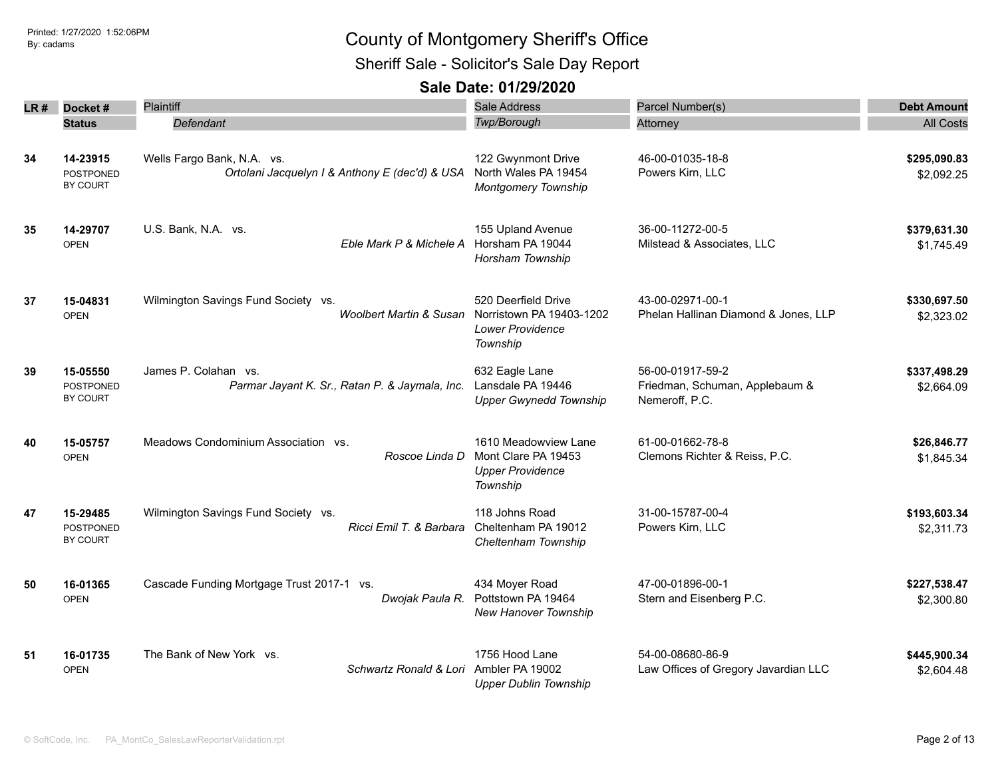Sheriff Sale - Solicitor's Sale Day Report

| LR# | Docket#                                  | Plaintiff                                                                    | Sale Address                                                                       | Parcel Number(s)                                                     | <b>Debt Amount</b>         |
|-----|------------------------------------------|------------------------------------------------------------------------------|------------------------------------------------------------------------------------|----------------------------------------------------------------------|----------------------------|
|     | <b>Status</b>                            | Defendant                                                                    | Twp/Borough                                                                        | Attorney                                                             | <b>All Costs</b>           |
| 34  | 14-23915<br>POSTPONED<br>BY COURT        | Wells Fargo Bank, N.A. vs.<br>Ortolani Jacquelyn I & Anthony E (dec'd) & USA | 122 Gwynmont Drive<br>North Wales PA 19454<br><b>Montgomery Township</b>           | 46-00-01035-18-8<br>Powers Kirn, LLC                                 | \$295,090.83<br>\$2,092.25 |
| 35  | 14-29707<br><b>OPEN</b>                  | U.S. Bank, N.A. vs.<br>Eble Mark P & Michele A                               | 155 Upland Avenue<br>Horsham PA 19044<br>Horsham Township                          | 36-00-11272-00-5<br>Milstead & Associates, LLC                       | \$379,631.30<br>\$1,745.49 |
| 37  | 15-04831<br><b>OPEN</b>                  | Wilmington Savings Fund Society vs.<br><b>Woolbert Martin &amp; Susan</b>    | 520 Deerfield Drive<br>Norristown PA 19403-1202<br>Lower Providence<br>Township    | 43-00-02971-00-1<br>Phelan Hallinan Diamond & Jones, LLP             | \$330,697.50<br>\$2,323.02 |
| 39  | 15-05550<br><b>POSTPONED</b><br>BY COURT | James P. Colahan vs.<br>Parmar Jayant K. Sr., Ratan P. & Jaymala, Inc.       | 632 Eagle Lane<br>Lansdale PA 19446<br><b>Upper Gwynedd Township</b>               | 56-00-01917-59-2<br>Friedman, Schuman, Applebaum &<br>Nemeroff, P.C. | \$337,498.29<br>\$2,664.09 |
| 40  | 15-05757<br><b>OPEN</b>                  | Meadows Condominium Association vs.<br>Roscoe Linda D                        | 1610 Meadowview Lane<br>Mont Clare PA 19453<br><b>Upper Providence</b><br>Township | 61-00-01662-78-8<br>Clemons Richter & Reiss, P.C.                    | \$26,846.77<br>\$1,845.34  |
| 47  | 15-29485<br>POSTPONED<br><b>BY COURT</b> | Wilmington Savings Fund Society vs.<br>Ricci Emil T. & Barbara               | 118 Johns Road<br>Cheltenham PA 19012<br>Cheltenham Township                       | 31-00-15787-00-4<br>Powers Kirn, LLC                                 | \$193,603.34<br>\$2,311.73 |
| 50  | 16-01365<br><b>OPEN</b>                  | Cascade Funding Mortgage Trust 2017-1 vs.<br>Dwojak Paula R.                 | 434 Moyer Road<br>Pottstown PA 19464<br>New Hanover Township                       | 47-00-01896-00-1<br>Stern and Eisenberg P.C.                         | \$227,538.47<br>\$2,300.80 |
| 51  | 16-01735<br><b>OPEN</b>                  | The Bank of New York vs.<br>Schwartz Ronald & Lori                           | 1756 Hood Lane<br>Ambler PA 19002<br><b>Upper Dublin Township</b>                  | 54-00-08680-86-9<br>Law Offices of Gregory Javardian LLC             | \$445,900.34<br>\$2,604.48 |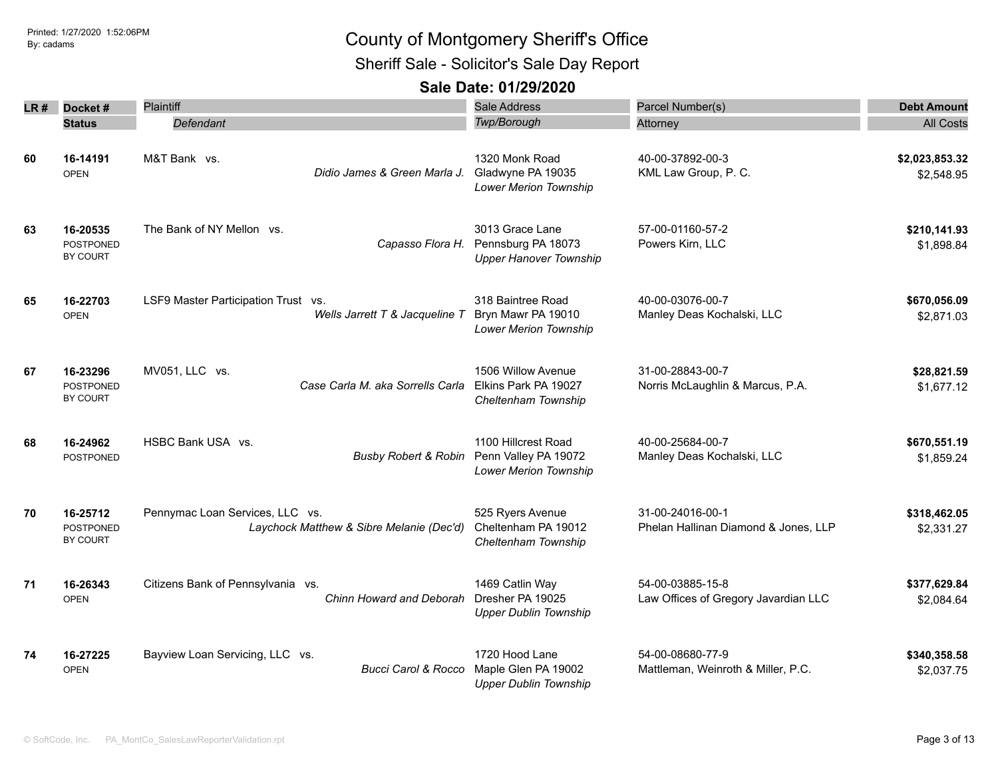Sheriff Sale - Solicitor's Sale Day Report

| LR # | Docket#                                  | <b>Plaintiff</b>                                                            | <b>Sale Address</b>                                                                     | Parcel Number(s)                                         | <b>Debt Amount</b>           |
|------|------------------------------------------|-----------------------------------------------------------------------------|-----------------------------------------------------------------------------------------|----------------------------------------------------------|------------------------------|
|      | <b>Status</b>                            | Defendant                                                                   | Twp/Borough                                                                             | Attorney                                                 | <b>All Costs</b>             |
| 60   | 16-14191<br><b>OPEN</b>                  | M&T Bank vs.<br>Didio James & Green Marla J.                                | 1320 Monk Road<br>Gladwyne PA 19035<br>Lower Merion Township                            | 40-00-37892-00-3<br>KML Law Group, P. C.                 | \$2,023,853.32<br>\$2,548.95 |
| 63   | 16-20535<br><b>POSTPONED</b><br>BY COURT | The Bank of NY Mellon vs.                                                   | 3013 Grace Lane<br>Capasso Flora H. Pennsburg PA 18073<br><b>Upper Hanover Township</b> | 57-00-01160-57-2<br>Powers Kirn, LLC                     | \$210,141.93<br>\$1,898.84   |
| 65   | 16-22703<br><b>OPEN</b>                  | LSF9 Master Participation Trust vs.<br>Wells Jarrett T & Jacqueline T       | 318 Baintree Road<br>Bryn Mawr PA 19010<br>Lower Merion Township                        | 40-00-03076-00-7<br>Manley Deas Kochalski, LLC           | \$670,056.09<br>\$2,871.03   |
| 67   | 16-23296<br><b>POSTPONED</b><br>BY COURT | MV051, LLC vs.<br>Case Carla M. aka Sorrells Carla                          | 1506 Willow Avenue<br>Elkins Park PA 19027<br>Cheltenham Township                       | 31-00-28843-00-7<br>Norris McLaughlin & Marcus, P.A.     | \$28,821.59<br>\$1,677.12    |
| 68   | 16-24962<br><b>POSTPONED</b>             | HSBC Bank USA vs.<br><b>Busby Robert &amp; Robin</b>                        | 1100 Hillcrest Road<br>Penn Valley PA 19072<br><b>Lower Merion Township</b>             | 40-00-25684-00-7<br>Manley Deas Kochalski, LLC           | \$670,551.19<br>\$1,859.24   |
| 70   | 16-25712<br>POSTPONED<br>BY COURT        | Pennymac Loan Services, LLC vs.<br>Laychock Matthew & Sibre Melanie (Dec'd) | 525 Ryers Avenue<br>Cheltenham PA 19012<br>Cheltenham Township                          | 31-00-24016-00-1<br>Phelan Hallinan Diamond & Jones, LLP | \$318,462.05<br>\$2,331.27   |
| 71   | 16-26343<br><b>OPEN</b>                  | Citizens Bank of Pennsylvania vs.<br>Chinn Howard and Deborah               | 1469 Catlin Way<br>Dresher PA 19025<br><b>Upper Dublin Township</b>                     | 54-00-03885-15-8<br>Law Offices of Gregory Javardian LLC | \$377,629.84<br>\$2,084.64   |
| 74   | 16-27225<br><b>OPEN</b>                  | Bayview Loan Servicing, LLC vs.<br><b>Bucci Carol &amp; Rocco</b>           | 1720 Hood Lane<br>Maple Glen PA 19002<br><b>Upper Dublin Township</b>                   | 54-00-08680-77-9<br>Mattleman, Weinroth & Miller, P.C.   | \$340,358.58<br>\$2,037.75   |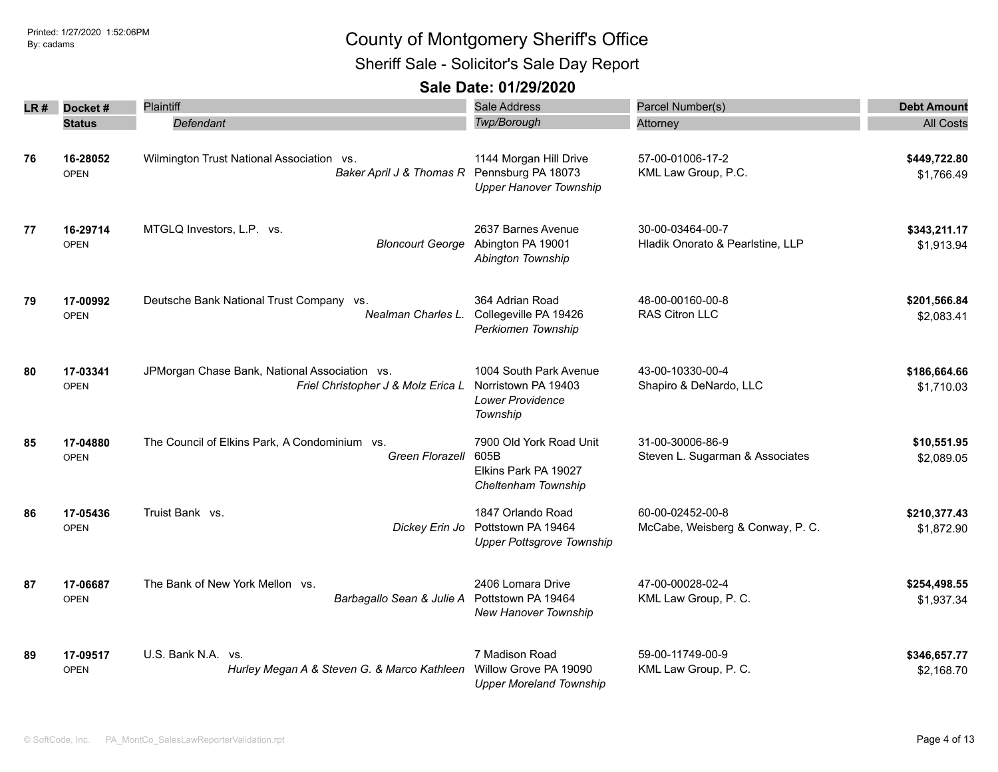Sheriff Sale - Solicitor's Sale Day Report

| LR # | Docket#                 | Plaintiff                                                                           | Sale Address                                                                         | Parcel Number(s)                                     | <b>Debt Amount</b>         |
|------|-------------------------|-------------------------------------------------------------------------------------|--------------------------------------------------------------------------------------|------------------------------------------------------|----------------------------|
|      | <b>Status</b>           | Defendant                                                                           | Twp/Borough                                                                          | Attorney                                             | <b>All Costs</b>           |
| 76   | 16-28052<br><b>OPEN</b> | Wilmington Trust National Association vs.<br>Baker April J & Thomas R               | 1144 Morgan Hill Drive<br>Pennsburg PA 18073<br><b>Upper Hanover Township</b>        | 57-00-01006-17-2<br>KML Law Group, P.C.              | \$449,722.80<br>\$1,766.49 |
| 77   | 16-29714<br><b>OPEN</b> | MTGLQ Investors, L.P. vs.<br><b>Bloncourt George</b>                                | 2637 Barnes Avenue<br>Abington PA 19001<br>Abington Township                         | 30-00-03464-00-7<br>Hladik Onorato & Pearlstine, LLP | \$343,211.17<br>\$1,913.94 |
| 79   | 17-00992<br><b>OPEN</b> | Deutsche Bank National Trust Company vs.<br>Nealman Charles L.                      | 364 Adrian Road<br>Collegeville PA 19426<br>Perkiomen Township                       | 48-00-00160-00-8<br>RAS Citron LLC                   | \$201,566.84<br>\$2,083.41 |
| 80   | 17-03341<br><b>OPEN</b> | JPMorgan Chase Bank, National Association vs.<br>Friel Christopher J & Molz Erica L | 1004 South Park Avenue<br>Norristown PA 19403<br><b>Lower Providence</b><br>Township | 43-00-10330-00-4<br>Shapiro & DeNardo, LLC           | \$186,664.66<br>\$1,710.03 |
| 85   | 17-04880<br><b>OPEN</b> | The Council of Elkins Park, A Condominium vs.<br><b>Green Florazell</b>             | 7900 Old York Road Unit<br>605B<br>Elkins Park PA 19027<br>Cheltenham Township       | 31-00-30006-86-9<br>Steven L. Sugarman & Associates  | \$10,551.95<br>\$2,089.05  |
| 86   | 17-05436<br><b>OPEN</b> | Truist Bank vs.<br>Dickey Erin Jo                                                   | 1847 Orlando Road<br>Pottstown PA 19464<br><b>Upper Pottsgrove Township</b>          | 60-00-02452-00-8<br>McCabe, Weisberg & Conway, P. C. | \$210,377.43<br>\$1,872.90 |
| 87   | 17-06687<br><b>OPEN</b> | The Bank of New York Mellon vs.<br>Barbagallo Sean & Julie A                        | 2406 Lomara Drive<br>Pottstown PA 19464<br>New Hanover Township                      | 47-00-00028-02-4<br>KML Law Group, P. C.             | \$254,498.55<br>\$1,937.34 |
| 89   | 17-09517<br><b>OPEN</b> | U.S. Bank N.A. vs.<br>Hurley Megan A & Steven G. & Marco Kathleen                   | 7 Madison Road<br>Willow Grove PA 19090<br><b>Upper Moreland Township</b>            | 59-00-11749-00-9<br>KML Law Group, P. C.             | \$346,657.77<br>\$2,168.70 |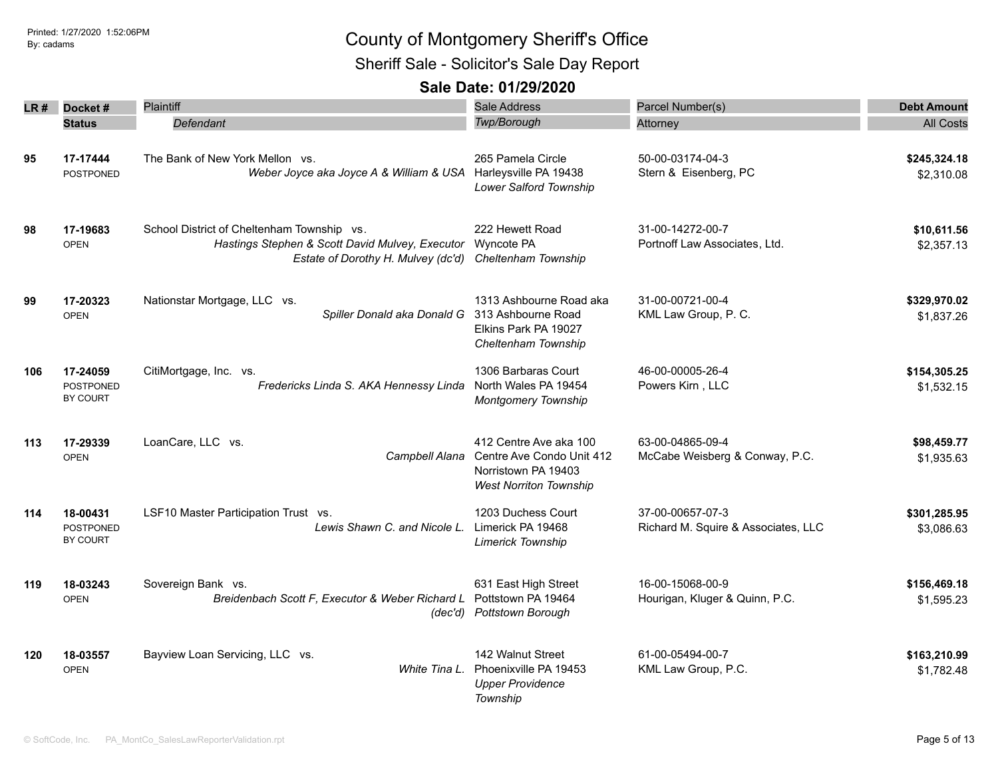Sheriff Sale - Solicitor's Sale Day Report

| LR# | Docket#                                         | <b>Plaintiff</b>                                                                                                                    | <b>Sale Address</b>                                                                                         | Parcel Number(s)                                        | <b>Debt Amount</b>         |
|-----|-------------------------------------------------|-------------------------------------------------------------------------------------------------------------------------------------|-------------------------------------------------------------------------------------------------------------|---------------------------------------------------------|----------------------------|
|     | <b>Status</b>                                   | Defendant                                                                                                                           | Twp/Borough                                                                                                 | Attorney                                                | <b>All Costs</b>           |
| 95  | 17-17444<br><b>POSTPONED</b>                    | The Bank of New York Mellon vs.<br>Weber Joyce aka Joyce A & William & USA Harleysville PA 19438                                    | 265 Pamela Circle<br>Lower Salford Township                                                                 | 50-00-03174-04-3<br>Stern & Eisenberg, PC               | \$245,324.18<br>\$2,310.08 |
| 98  | 17-19683<br><b>OPEN</b>                         | School District of Cheltenham Township vs.<br>Hastings Stephen & Scott David Mulvey, Executor<br>Estate of Dorothy H. Mulvey (dc'd) | 222 Hewett Road<br>Wyncote PA<br>Cheltenham Township                                                        | 31-00-14272-00-7<br>Portnoff Law Associates, Ltd.       | \$10,611.56<br>\$2,357.13  |
| 99  | 17-20323<br><b>OPEN</b>                         | Nationstar Mortgage, LLC vs.<br>Spiller Donald aka Donald G 313 Ashbourne Road                                                      | 1313 Ashbourne Road aka<br>Elkins Park PA 19027<br>Cheltenham Township                                      | 31-00-00721-00-4<br>KML Law Group, P. C.                | \$329,970.02<br>\$1,837.26 |
| 106 | 17-24059<br><b>POSTPONED</b><br>BY COURT        | CitiMortgage, Inc. vs.<br>Fredericks Linda S. AKA Hennessy Linda                                                                    | 1306 Barbaras Court<br>North Wales PA 19454<br><b>Montgomery Township</b>                                   | 46-00-00005-26-4<br>Powers Kirn, LLC                    | \$154,305.25<br>\$1.532.15 |
| 113 | 17-29339<br><b>OPEN</b>                         | LoanCare, LLC vs.<br>Campbell Alana                                                                                                 | 412 Centre Ave aka 100<br>Centre Ave Condo Unit 412<br>Norristown PA 19403<br><b>West Norriton Township</b> | 63-00-04865-09-4<br>McCabe Weisberg & Conway, P.C.      | \$98,459.77<br>\$1,935.63  |
| 114 | 18-00431<br><b>POSTPONED</b><br><b>BY COURT</b> | LSF10 Master Participation Trust vs.<br>Lewis Shawn C. and Nicole L.                                                                | 1203 Duchess Court<br>Limerick PA 19468<br><b>Limerick Township</b>                                         | 37-00-00657-07-3<br>Richard M. Squire & Associates, LLC | \$301,285.95<br>\$3,086.63 |
| 119 | 18-03243<br><b>OPEN</b>                         | Sovereign Bank vs.<br>Breidenbach Scott F. Executor & Weber Richard L                                                               | 631 East High Street<br>Pottstown PA 19464<br>(dec'd) Pottstown Borough                                     | 16-00-15068-00-9<br>Hourigan, Kluger & Quinn, P.C.      | \$156,469.18<br>\$1,595.23 |
| 120 | 18-03557<br><b>OPEN</b>                         | Bayview Loan Servicing, LLC vs.<br>White Tina L.                                                                                    | 142 Walnut Street<br>Phoenixville PA 19453<br><b>Upper Providence</b><br>Township                           | 61-00-05494-00-7<br>KML Law Group, P.C.                 | \$163,210.99<br>\$1,782.48 |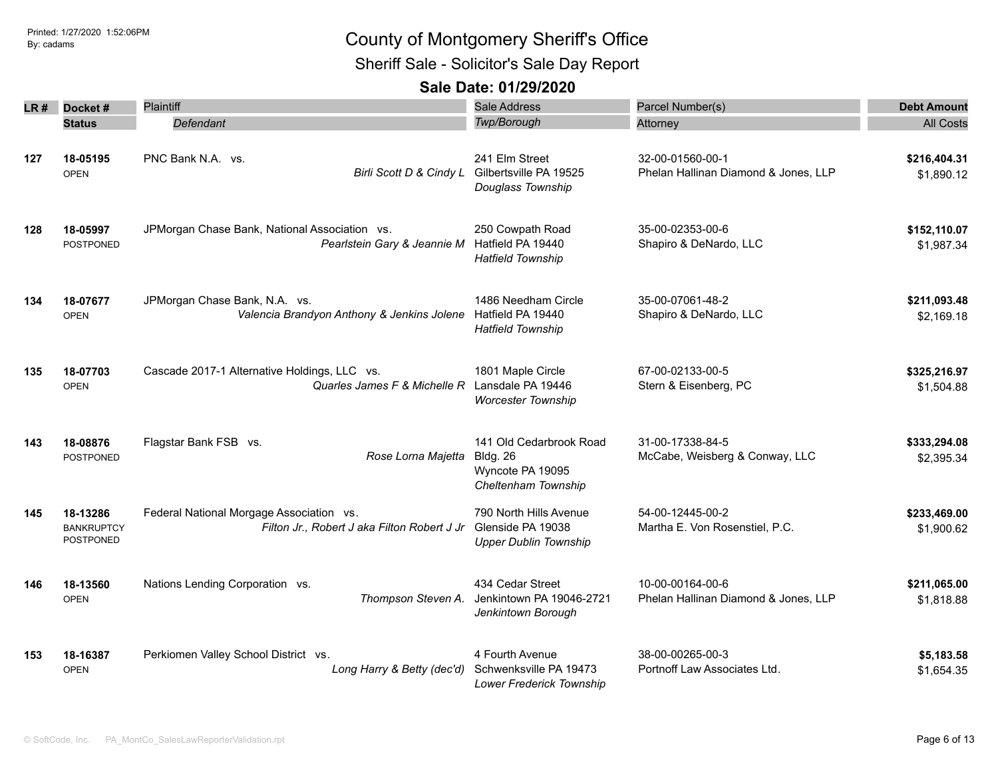Sheriff Sale - Solicitor's Sale Day Report

| LR # | Docket#                                    | Plaintiff                                                                                      | Sale Address                                                                          | Parcel Number(s)                                         | <b>Debt Amount</b>         |
|------|--------------------------------------------|------------------------------------------------------------------------------------------------|---------------------------------------------------------------------------------------|----------------------------------------------------------|----------------------------|
|      | <b>Status</b>                              | Defendant                                                                                      | Twp/Borough                                                                           | Attorney                                                 | <b>All Costs</b>           |
| 127  | 18-05195<br><b>OPEN</b>                    | PNC Bank N.A. vs.<br>Birli Scott D & Cindy L                                                   | 241 Elm Street<br>Gilbertsville PA 19525<br>Douglass Township                         | 32-00-01560-00-1<br>Phelan Hallinan Diamond & Jones, LLP | \$216,404.31<br>\$1,890.12 |
| 128  | 18-05997<br>POSTPONED                      | JPMorgan Chase Bank, National Association vs.<br>Pearlstein Gary & Jeannie M Hatfield PA 19440 | 250 Cowpath Road<br><b>Hatfield Township</b>                                          | 35-00-02353-00-6<br>Shapiro & DeNardo, LLC               | \$152,110.07<br>\$1,987.34 |
| 134  | 18-07677<br><b>OPEN</b>                    | JPMorgan Chase Bank, N.A. vs.<br>Valencia Brandyon Anthony & Jenkins Jolene                    | 1486 Needham Circle<br>Hatfield PA 19440<br><b>Hatfield Township</b>                  | 35-00-07061-48-2<br>Shapiro & DeNardo, LLC               | \$211,093.48<br>\$2,169.18 |
| 135  | 18-07703<br><b>OPEN</b>                    | Cascade 2017-1 Alternative Holdings, LLC vs.<br>Quarles James F & Michelle R                   | 1801 Maple Circle<br>Lansdale PA 19446<br><b>Worcester Township</b>                   | 67-00-02133-00-5<br>Stern & Eisenberg, PC                | \$325,216.97<br>\$1,504.88 |
| 143  | 18-08876<br><b>POSTPONED</b>               | Flagstar Bank FSB vs.<br>Rose Lorna Majetta                                                    | 141 Old Cedarbrook Road<br><b>Bldg. 26</b><br>Wyncote PA 19095<br>Cheltenham Township | 31-00-17338-84-5<br>McCabe, Weisberg & Conway, LLC       | \$333,294.08<br>\$2,395.34 |
| 145  | 18-13286<br><b>BANKRUPTCY</b><br>POSTPONED | Federal National Morgage Association vs.<br>Filton Jr., Robert J aka Filton Robert J Jr        | 790 North Hills Avenue<br>Glenside PA 19038<br><b>Upper Dublin Township</b>           | 54-00-12445-00-2<br>Martha E. Von Rosenstiel, P.C.       | \$233,469.00<br>\$1,900.62 |
| 146  | 18-13560<br><b>OPEN</b>                    | Nations Lending Corporation vs.<br>Thompson Steven A.                                          | 434 Cedar Street<br>Jenkintown PA 19046-2721<br>Jenkintown Borough                    | 10-00-00164-00-6<br>Phelan Hallinan Diamond & Jones, LLP | \$211,065.00<br>\$1,818.88 |
| 153  | 18-16387<br><b>OPEN</b>                    | Perkiomen Valley School District vs.<br>Long Harry & Betty (dec'd)                             | 4 Fourth Avenue<br>Schwenksville PA 19473<br>Lower Frederick Township                 | 38-00-00265-00-3<br>Portnoff Law Associates Ltd.         | \$5,183.58<br>\$1,654.35   |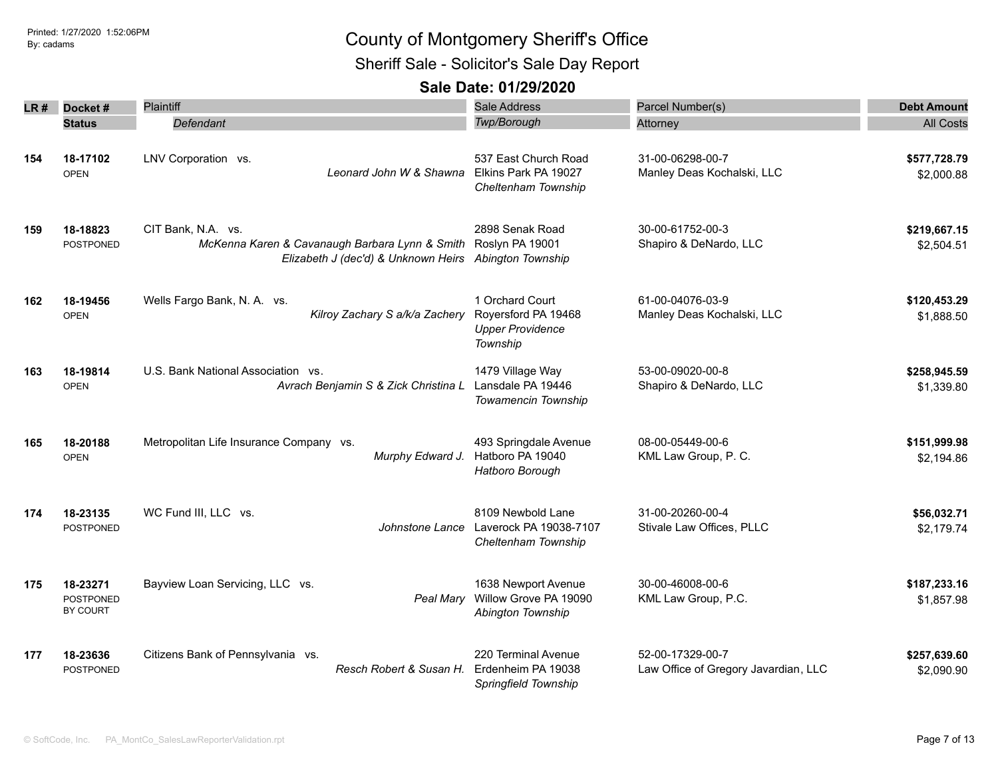Sheriff Sale - Solicitor's Sale Day Report

| LR# | Docket#                                  | Plaintiff                                                                                                                                     | Sale Address                                                                  | Parcel Number(s)                                         | <b>Debt Amount</b>         |
|-----|------------------------------------------|-----------------------------------------------------------------------------------------------------------------------------------------------|-------------------------------------------------------------------------------|----------------------------------------------------------|----------------------------|
|     | <b>Status</b>                            | Defendant                                                                                                                                     | Twp/Borough                                                                   | Attorney                                                 | <b>All Costs</b>           |
| 154 | 18-17102<br><b>OPEN</b>                  | LNV Corporation vs.<br>Leonard John W & Shawna                                                                                                | 537 East Church Road<br>Elkins Park PA 19027<br>Cheltenham Township           | 31-00-06298-00-7<br>Manley Deas Kochalski, LLC           | \$577,728.79<br>\$2,000.88 |
| 159 | 18-18823<br>POSTPONED                    | CIT Bank, N.A. vs.<br>McKenna Karen & Cavanaugh Barbara Lynn & Smith Roslyn PA 19001<br>Elizabeth J (dec'd) & Unknown Heirs Abington Township | 2898 Senak Road                                                               | 30-00-61752-00-3<br>Shapiro & DeNardo, LLC               | \$219,667.15<br>\$2,504.51 |
| 162 | 18-19456<br><b>OPEN</b>                  | Wells Fargo Bank, N. A. vs.<br>Kilroy Zachary S a/k/a Zachery                                                                                 | 1 Orchard Court<br>Royersford PA 19468<br><b>Upper Providence</b><br>Township | 61-00-04076-03-9<br>Manley Deas Kochalski, LLC           | \$120,453.29<br>\$1,888.50 |
| 163 | 18-19814<br><b>OPEN</b>                  | U.S. Bank National Association vs.<br>Avrach Benjamin S & Zick Christina L                                                                    | 1479 Village Way<br>Lansdale PA 19446<br><b>Towamencin Township</b>           | 53-00-09020-00-8<br>Shapiro & DeNardo, LLC               | \$258,945.59<br>\$1,339.80 |
| 165 | 18-20188<br><b>OPEN</b>                  | Metropolitan Life Insurance Company vs.<br>Murphy Edward J.                                                                                   | 493 Springdale Avenue<br>Hatboro PA 19040<br>Hatboro Borough                  | 08-00-05449-00-6<br>KML Law Group, P. C.                 | \$151,999.98<br>\$2,194.86 |
| 174 | 18-23135<br><b>POSTPONED</b>             | WC Fund III, LLC vs.<br>Johnstone Lance                                                                                                       | 8109 Newbold Lane<br>Laverock PA 19038-7107<br>Cheltenham Township            | 31-00-20260-00-4<br>Stivale Law Offices, PLLC            | \$56,032.71<br>\$2,179.74  |
| 175 | 18-23271<br>POSTPONED<br><b>BY COURT</b> | Bayview Loan Servicing, LLC vs.                                                                                                               | 1638 Newport Avenue<br>Peal Mary Willow Grove PA 19090<br>Abington Township   | 30-00-46008-00-6<br>KML Law Group, P.C.                  | \$187,233.16<br>\$1,857.98 |
| 177 | 18-23636<br><b>POSTPONED</b>             | Citizens Bank of Pennsylvania vs.<br>Resch Robert & Susan H.                                                                                  | 220 Terminal Avenue<br>Erdenheim PA 19038<br>Springfield Township             | 52-00-17329-00-7<br>Law Office of Gregory Javardian, LLC | \$257,639.60<br>\$2,090.90 |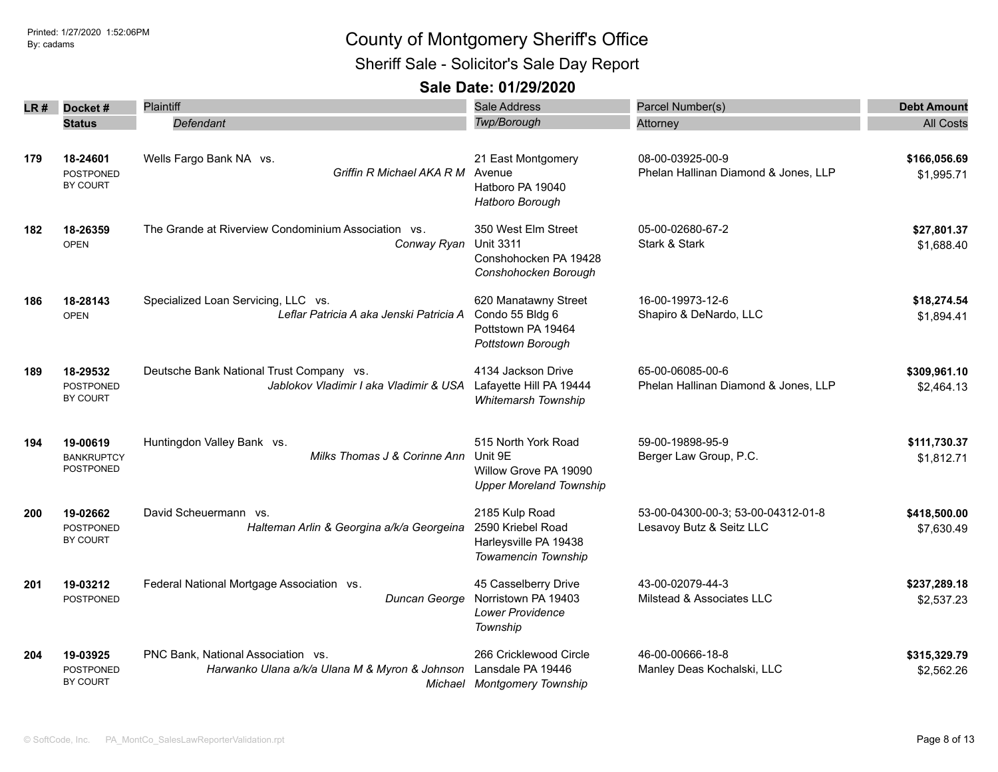Sheriff Sale - Solicitor's Sale Day Report

| LR # | Docket#                             | Plaintiff                                                  | Sale Address                   | Parcel Number(s)                     | <b>Debt Amount</b> |
|------|-------------------------------------|------------------------------------------------------------|--------------------------------|--------------------------------------|--------------------|
|      | <b>Status</b>                       | Defendant                                                  | Twp/Borough                    | Attorney                             | <b>All Costs</b>   |
|      |                                     |                                                            |                                |                                      |                    |
| 179  | 18-24601                            | Wells Fargo Bank NA vs.                                    | 21 East Montgomery             | 08-00-03925-00-9                     | \$166,056.69       |
|      | <b>POSTPONED</b>                    | Griffin R Michael AKA R M                                  | Avenue                         | Phelan Hallinan Diamond & Jones, LLP | \$1,995.71         |
|      | BY COURT                            |                                                            | Hatboro PA 19040               |                                      |                    |
|      |                                     |                                                            | Hatboro Borough                |                                      |                    |
| 182  | 18-26359                            | The Grande at Riverview Condominium Association vs.        | 350 West Elm Street            | 05-00-02680-67-2                     | \$27,801.37        |
|      | <b>OPEN</b>                         | Conway Ryan                                                | <b>Unit 3311</b>               | Stark & Stark                        | \$1,688.40         |
|      |                                     |                                                            | Conshohocken PA 19428          |                                      |                    |
|      |                                     |                                                            | Conshohocken Borough           |                                      |                    |
| 186  | 18-28143                            | Specialized Loan Servicing, LLC vs.                        | 620 Manatawny Street           | 16-00-19973-12-6                     | \$18,274.54        |
|      | <b>OPEN</b>                         | Leflar Patricia A aka Jenski Patricia A                    | Condo 55 Bldg 6                | Shapiro & DeNardo, LLC               | \$1,894.41         |
|      |                                     |                                                            | Pottstown PA 19464             |                                      |                    |
|      |                                     |                                                            | Pottstown Borough              |                                      |                    |
| 189  | 18-29532                            | Deutsche Bank National Trust Company vs.                   | 4134 Jackson Drive             | 65-00-06085-00-6                     | \$309,961.10       |
|      | <b>POSTPONED</b>                    | Jablokov Vladimir I aka Vladimir & USA                     | Lafayette Hill PA 19444        | Phelan Hallinan Diamond & Jones, LLP | \$2,464.13         |
|      | BY COURT                            |                                                            | Whitemarsh Township            |                                      |                    |
|      |                                     |                                                            |                                |                                      |                    |
| 194  | 19-00619                            | Huntingdon Valley Bank vs.<br>Milks Thomas J & Corinne Ann | 515 North York Road<br>Unit 9E | 59-00-19898-95-9                     | \$111,730.37       |
|      | <b>BANKRUPTCY</b><br>POSTPONED      |                                                            | Willow Grove PA 19090          | Berger Law Group, P.C.               | \$1,812.71         |
|      |                                     |                                                            | <b>Upper Moreland Township</b> |                                      |                    |
|      |                                     |                                                            |                                |                                      |                    |
| 200  | 19-02662                            | David Scheuermann vs.                                      | 2185 Kulp Road                 | 53-00-04300-00-3; 53-00-04312-01-8   | \$418,500.00       |
|      | <b>POSTPONED</b><br><b>BY COURT</b> | Halteman Arlin & Georgina a/k/a Georgeina                  | 2590 Kriebel Road              | Lesavoy Butz & Seitz LLC             | \$7,630.49         |
|      |                                     |                                                            | Harleysville PA 19438          |                                      |                    |
|      |                                     |                                                            | Towamencin Township            |                                      |                    |
| 201  | 19-03212                            | Federal National Mortgage Association vs.                  | 45 Casselberry Drive           | 43-00-02079-44-3                     | \$237,289.18       |
|      | POSTPONED                           | Duncan George                                              | Norristown PA 19403            | Milstead & Associates LLC            | \$2,537.23         |
|      |                                     |                                                            | Lower Providence               |                                      |                    |
|      |                                     |                                                            | Township                       |                                      |                    |
| 204  | 19-03925                            | PNC Bank, National Association vs.                         | 266 Cricklewood Circle         | 46-00-00666-18-8                     | \$315,329.79       |
|      | <b>POSTPONED</b>                    | Harwanko Ulana a/k/a Ulana M & Myron & Johnson             | Lansdale PA 19446              | Manley Deas Kochalski, LLC           | \$2,562.26         |
|      | BY COURT                            |                                                            | Michael Montgomery Township    |                                      |                    |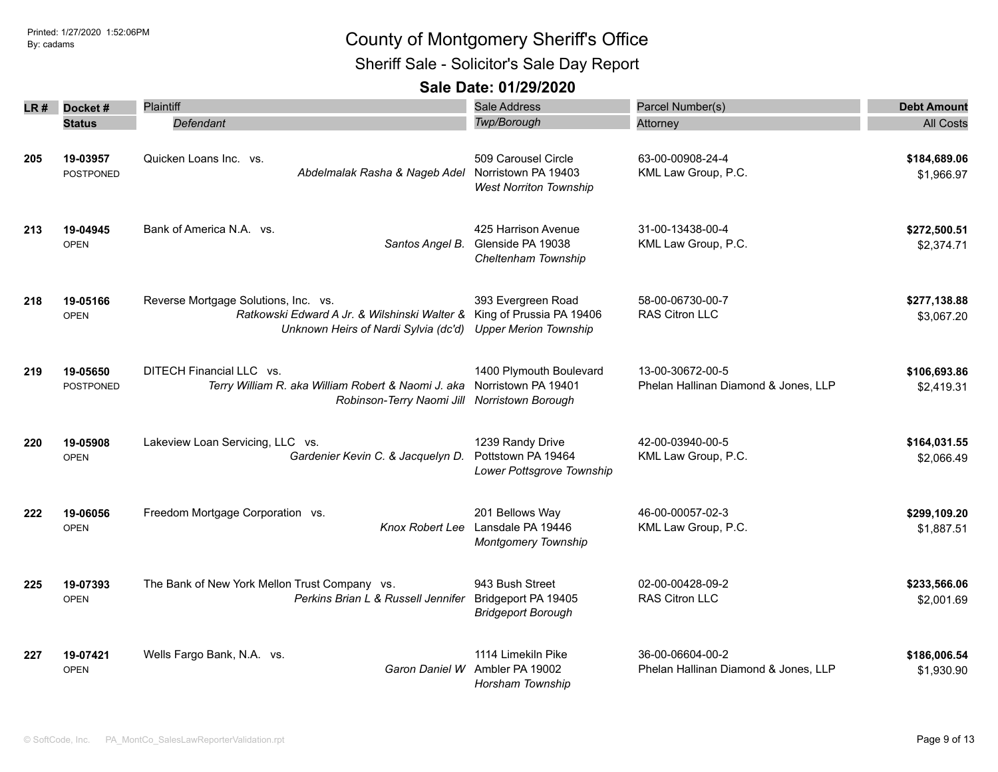Sheriff Sale - Solicitor's Sale Day Report

| LR # | Docket#                      | <b>Plaintiff</b>                                                                                                                                      | Sale Address                                                                | Parcel Number(s)                                         | <b>Debt Amount</b>         |
|------|------------------------------|-------------------------------------------------------------------------------------------------------------------------------------------------------|-----------------------------------------------------------------------------|----------------------------------------------------------|----------------------------|
|      | <b>Status</b>                | Defendant                                                                                                                                             | Twp/Borough                                                                 | Attorney                                                 | <b>All Costs</b>           |
| 205  | 19-03957<br><b>POSTPONED</b> | Quicken Loans Inc. vs.<br>Abdelmalak Rasha & Nageb Adel                                                                                               | 509 Carousel Circle<br>Norristown PA 19403<br><b>West Norriton Township</b> | 63-00-00908-24-4<br>KML Law Group, P.C.                  | \$184,689.06<br>\$1,966.97 |
| 213  | 19-04945<br><b>OPEN</b>      | Bank of America N.A. vs.<br>Santos Angel B.                                                                                                           | 425 Harrison Avenue<br>Glenside PA 19038<br>Cheltenham Township             | 31-00-13438-00-4<br>KML Law Group, P.C.                  | \$272,500.51<br>\$2,374.71 |
| 218  | 19-05166<br><b>OPEN</b>      | Reverse Mortgage Solutions, Inc. vs.<br>Ratkowski Edward A Jr. & Wilshinski Walter & King of Prussia PA 19406<br>Unknown Heirs of Nardi Sylvia (dc'd) | 393 Evergreen Road<br><b>Upper Merion Township</b>                          | 58-00-06730-00-7<br><b>RAS Citron LLC</b>                | \$277,138.88<br>\$3,067.20 |
| 219  | 19-05650<br><b>POSTPONED</b> | DITECH Financial LLC vs.<br>Terry William R. aka William Robert & Naomi J. aka<br>Robinson-Terry Naomi Jill Norristown Borough                        | 1400 Plymouth Boulevard<br>Norristown PA 19401                              | 13-00-30672-00-5<br>Phelan Hallinan Diamond & Jones, LLP | \$106,693.86<br>\$2,419.31 |
| 220  | 19-05908<br><b>OPEN</b>      | Lakeview Loan Servicing, LLC vs.<br>Gardenier Kevin C. & Jacquelyn D.                                                                                 | 1239 Randy Drive<br>Pottstown PA 19464<br>Lower Pottsgrove Township         | 42-00-03940-00-5<br>KML Law Group, P.C.                  | \$164,031.55<br>\$2,066.49 |
| 222  | 19-06056<br><b>OPEN</b>      | Freedom Mortgage Corporation vs.<br><b>Knox Robert Lee</b>                                                                                            | 201 Bellows Way<br>Lansdale PA 19446<br><b>Montgomery Township</b>          | 46-00-00057-02-3<br>KML Law Group, P.C.                  | \$299,109.20<br>\$1,887.51 |
| 225  | 19-07393<br><b>OPEN</b>      | The Bank of New York Mellon Trust Company vs.<br>Perkins Brian L & Russell Jennifer                                                                   | 943 Bush Street<br>Bridgeport PA 19405<br><b>Bridgeport Borough</b>         | 02-00-00428-09-2<br>RAS Citron LLC                       | \$233,566.06<br>\$2,001.69 |
| 227  | 19-07421<br><b>OPEN</b>      | Wells Fargo Bank, N.A. vs.<br>Garon Daniel W                                                                                                          | 1114 Limekiln Pike<br>Ambler PA 19002<br>Horsham Township                   | 36-00-06604-00-2<br>Phelan Hallinan Diamond & Jones, LLP | \$186,006.54<br>\$1,930.90 |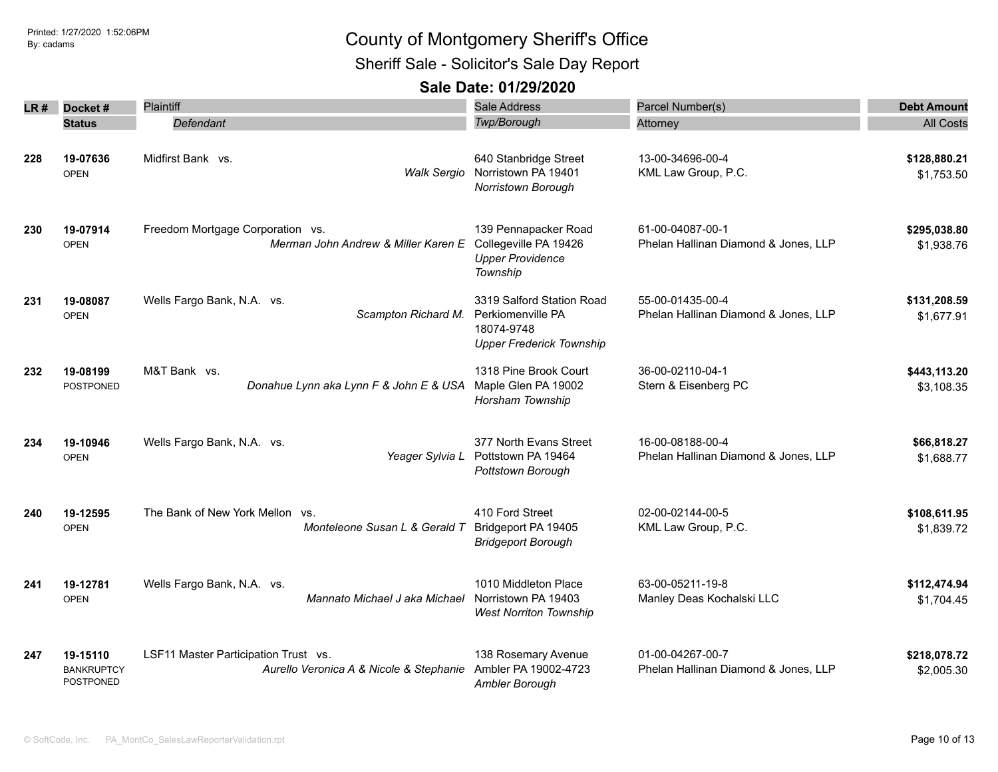Sheriff Sale - Solicitor's Sale Day Report

| LR # | Docket#                                           | Plaintiff                                                                       | Sale Address                                                                                    | Parcel Number(s)                                         | <b>Debt Amount</b>         |
|------|---------------------------------------------------|---------------------------------------------------------------------------------|-------------------------------------------------------------------------------------------------|----------------------------------------------------------|----------------------------|
|      | <b>Status</b>                                     | Defendant                                                                       | Twp/Borough                                                                                     | Attorney                                                 | <b>All Costs</b>           |
| 228  | 19-07636<br><b>OPEN</b>                           | Midfirst Bank vs.<br><b>Walk Sergio</b>                                         | 640 Stanbridge Street<br>Norristown PA 19401<br>Norristown Borough                              | 13-00-34696-00-4<br>KML Law Group, P.C.                  | \$128,880.21<br>\$1,753.50 |
| 230  | 19-07914<br><b>OPEN</b>                           | Freedom Mortgage Corporation vs.<br>Merman John Andrew & Miller Karen E         | 139 Pennapacker Road<br>Collegeville PA 19426<br><b>Upper Providence</b><br>Township            | 61-00-04087-00-1<br>Phelan Hallinan Diamond & Jones, LLP | \$295,038.80<br>\$1,938.76 |
| 231  | 19-08087<br><b>OPEN</b>                           | Wells Fargo Bank, N.A. vs.<br>Scampton Richard M.                               | 3319 Salford Station Road<br>Perkiomenville PA<br>18074-9748<br><b>Upper Frederick Township</b> | 55-00-01435-00-4<br>Phelan Hallinan Diamond & Jones, LLP | \$131,208.59<br>\$1,677.91 |
| 232  | 19-08199<br><b>POSTPONED</b>                      | M&T Bank vs.<br>Donahue Lynn aka Lynn F & John E & USA                          | 1318 Pine Brook Court<br>Maple Glen PA 19002<br>Horsham Township                                | 36-00-02110-04-1<br>Stern & Eisenberg PC                 | \$443,113.20<br>\$3,108.35 |
| 234  | 19-10946<br><b>OPEN</b>                           | Wells Fargo Bank, N.A. vs.<br>Yeager Sylvia L                                   | 377 North Evans Street<br>Pottstown PA 19464<br>Pottstown Borough                               | 16-00-08188-00-4<br>Phelan Hallinan Diamond & Jones, LLP | \$66,818.27<br>\$1,688.77  |
| 240  | 19-12595<br><b>OPEN</b>                           | The Bank of New York Mellon vs.<br>Monteleone Susan L & Gerald T                | 410 Ford Street<br>Bridgeport PA 19405<br><b>Bridgeport Borough</b>                             | 02-00-02144-00-5<br>KML Law Group, P.C.                  | \$108,611.95<br>\$1,839.72 |
| 241  | 19-12781<br><b>OPEN</b>                           | Wells Fargo Bank, N.A. vs.<br>Mannato Michael J aka Michael                     | 1010 Middleton Place<br>Norristown PA 19403<br><b>West Norriton Township</b>                    | 63-00-05211-19-8<br>Manley Deas Kochalski LLC            | \$112,474.94<br>\$1,704.45 |
| 247  | 19-15110<br><b>BANKRUPTCY</b><br><b>POSTPONED</b> | LSF11 Master Participation Trust vs.<br>Aurello Veronica A & Nicole & Stephanie | 138 Rosemary Avenue<br>Ambler PA 19002-4723<br>Ambler Borough                                   | 01-00-04267-00-7<br>Phelan Hallinan Diamond & Jones, LLP | \$218,078.72<br>\$2,005.30 |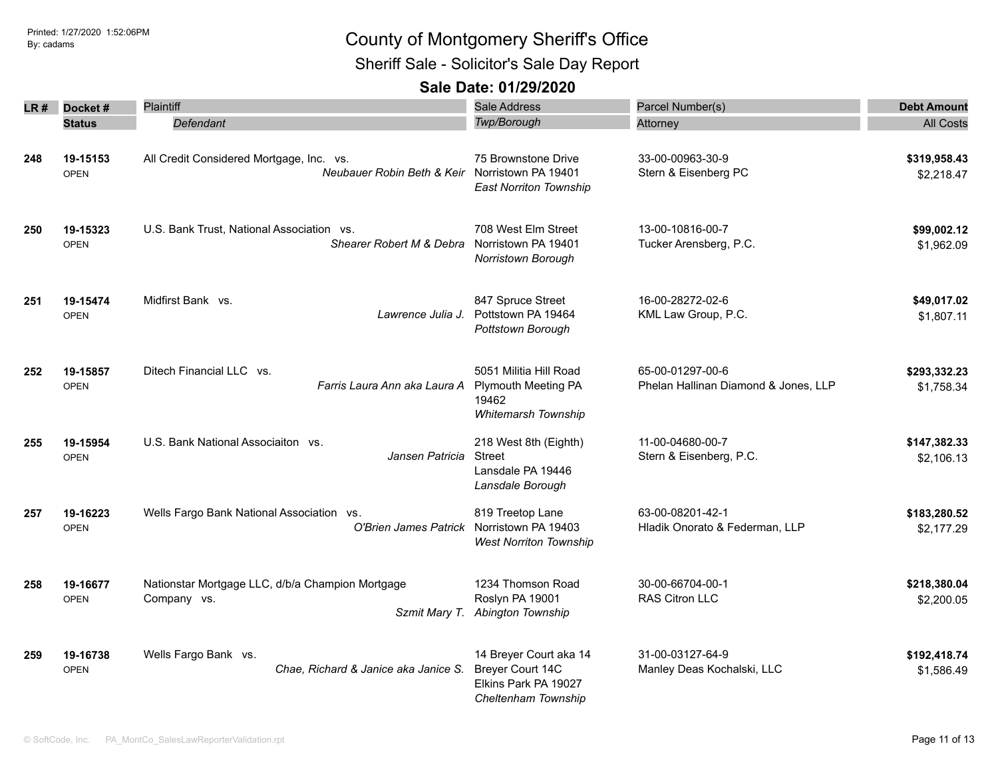Sheriff Sale - Solicitor's Sale Day Report

| LR# | Docket#                 | Plaintiff                                                                                  | Sale Address                                                                              | Parcel Number(s)                                         | <b>Debt Amount</b>         |
|-----|-------------------------|--------------------------------------------------------------------------------------------|-------------------------------------------------------------------------------------------|----------------------------------------------------------|----------------------------|
|     | <b>Status</b>           | Defendant                                                                                  | <b>Twp/Borough</b>                                                                        | Attorney                                                 | <b>All Costs</b>           |
| 248 | 19-15153<br><b>OPEN</b> | All Credit Considered Mortgage, Inc. vs.<br>Neubauer Robin Beth & Keir Norristown PA 19401 | 75 Brownstone Drive<br><b>East Norriton Township</b>                                      | 33-00-00963-30-9<br>Stern & Eisenberg PC                 | \$319,958.43<br>\$2,218.47 |
| 250 | 19-15323<br><b>OPEN</b> | U.S. Bank Trust, National Association vs.<br>Shearer Robert M & Debra                      | 708 West Elm Street<br>Norristown PA 19401<br>Norristown Borough                          | 13-00-10816-00-7<br>Tucker Arensberg, P.C.               | \$99,002.12<br>\$1,962.09  |
| 251 | 19-15474<br><b>OPEN</b> | Midfirst Bank vs.<br>Lawrence Julia J.                                                     | 847 Spruce Street<br>Pottstown PA 19464<br>Pottstown Borough                              | 16-00-28272-02-6<br>KML Law Group, P.C.                  | \$49,017.02<br>\$1,807.11  |
| 252 | 19-15857<br><b>OPEN</b> | Ditech Financial LLC vs.<br>Farris Laura Ann aka Laura A                                   | 5051 Militia Hill Road<br><b>Plymouth Meeting PA</b><br>19462<br>Whitemarsh Township      | 65-00-01297-00-6<br>Phelan Hallinan Diamond & Jones, LLP | \$293,332.23<br>\$1,758.34 |
| 255 | 19-15954<br><b>OPEN</b> | U.S. Bank National Associaiton vs.<br>Jansen Patricia                                      | 218 West 8th (Eighth)<br><b>Street</b><br>Lansdale PA 19446<br>Lansdale Borough           | 11-00-04680-00-7<br>Stern & Eisenberg, P.C.              | \$147,382.33<br>\$2,106.13 |
| 257 | 19-16223<br><b>OPEN</b> | Wells Fargo Bank National Association vs.<br>O'Brien James Patrick                         | 819 Treetop Lane<br>Norristown PA 19403<br><b>West Norriton Township</b>                  | 63-00-08201-42-1<br>Hladik Onorato & Federman, LLP       | \$183,280.52<br>\$2,177.29 |
| 258 | 19-16677<br><b>OPEN</b> | Nationstar Mortgage LLC, d/b/a Champion Mortgage<br>Company vs.                            | 1234 Thomson Road<br>Roslyn PA 19001<br>Szmit Mary T. Abington Township                   | 30-00-66704-00-1<br>RAS Citron LLC                       | \$218,380.04<br>\$2,200.05 |
| 259 | 19-16738<br><b>OPEN</b> | Wells Fargo Bank vs.<br>Chae, Richard & Janice aka Janice S.                               | 14 Breyer Court aka 14<br>Breyer Court 14C<br>Elkins Park PA 19027<br>Cheltenham Township | 31-00-03127-64-9<br>Manley Deas Kochalski, LLC           | \$192,418.74<br>\$1,586.49 |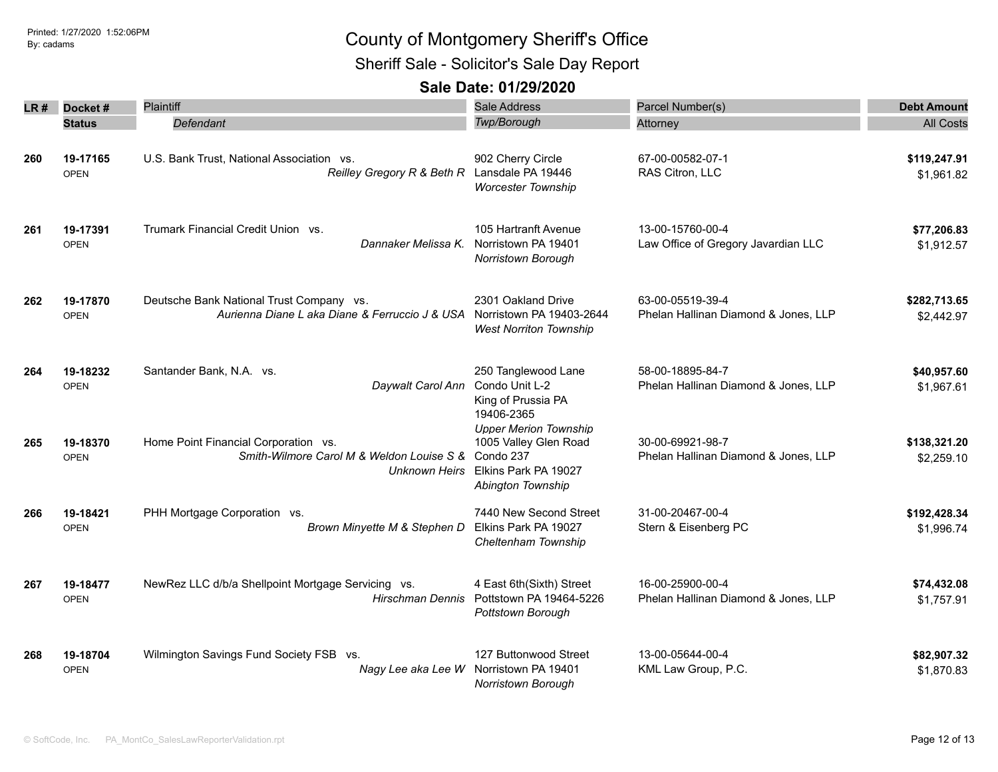Sheriff Sale - Solicitor's Sale Day Report

| LR # | Docket#                 | Plaintiff                                                                                          | <b>Sale Address</b>                                                                                             | Parcel Number(s)                                         | <b>Debt Amount</b>         |
|------|-------------------------|----------------------------------------------------------------------------------------------------|-----------------------------------------------------------------------------------------------------------------|----------------------------------------------------------|----------------------------|
|      | <b>Status</b>           | Defendant                                                                                          | Twp/Borough                                                                                                     | Attorney                                                 | <b>All Costs</b>           |
| 260  | 19-17165<br><b>OPEN</b> | U.S. Bank Trust, National Association vs.<br>Reilley Gregory R & Beth R Lansdale PA 19446          | 902 Cherry Circle<br><b>Worcester Township</b>                                                                  | 67-00-00582-07-1<br>RAS Citron, LLC                      | \$119,247.91<br>\$1,961.82 |
| 261  | 19-17391<br><b>OPEN</b> | Trumark Financial Credit Union vs.<br>Dannaker Melissa K.                                          | 105 Hartranft Avenue<br>Norristown PA 19401<br><b>Norristown Borough</b>                                        | 13-00-15760-00-4<br>Law Office of Gregory Javardian LLC  | \$77,206.83<br>\$1,912.57  |
| 262  | 19-17870<br><b>OPEN</b> | Deutsche Bank National Trust Company vs.<br>Aurienna Diane L aka Diane & Ferruccio J & USA         | 2301 Oakland Drive<br>Norristown PA 19403-2644<br><b>West Norriton Township</b>                                 | 63-00-05519-39-4<br>Phelan Hallinan Diamond & Jones, LLP | \$282,713.65<br>\$2,442.97 |
| 264  | 19-18232<br><b>OPEN</b> | Santander Bank, N.A. vs.<br>Daywalt Carol Ann                                                      | 250 Tanglewood Lane<br>Condo Unit L-2<br>King of Prussia PA<br>19406-2365                                       | 58-00-18895-84-7<br>Phelan Hallinan Diamond & Jones, LLP | \$40,957.60<br>\$1,967.61  |
| 265  | 19-18370<br><b>OPEN</b> | Home Point Financial Corporation vs.<br>Smith-Wilmore Carol M & Weldon Louise S &<br>Unknown Heirs | <b>Upper Merion Township</b><br>1005 Valley Glen Road<br>Condo 237<br>Elkins Park PA 19027<br>Abington Township | 30-00-69921-98-7<br>Phelan Hallinan Diamond & Jones, LLP | \$138,321.20<br>\$2,259.10 |
| 266  | 19-18421<br><b>OPEN</b> | PHH Mortgage Corporation vs.<br>Brown Minyette M & Stephen D                                       | 7440 New Second Street<br>Elkins Park PA 19027<br>Cheltenham Township                                           | 31-00-20467-00-4<br>Stern & Eisenberg PC                 | \$192,428.34<br>\$1,996.74 |
| 267  | 19-18477<br><b>OPEN</b> | NewRez LLC d/b/a Shellpoint Mortgage Servicing vs.<br>Hirschman Dennis                             | 4 East 6th(Sixth) Street<br>Pottstown PA 19464-5226<br>Pottstown Borough                                        | 16-00-25900-00-4<br>Phelan Hallinan Diamond & Jones, LLP | \$74,432.08<br>\$1,757.91  |
| 268  | 19-18704<br><b>OPEN</b> | Wilmington Savings Fund Society FSB vs.<br>Nagy Lee aka Lee W                                      | 127 Buttonwood Street<br>Norristown PA 19401<br>Norristown Borough                                              | 13-00-05644-00-4<br>KML Law Group, P.C.                  | \$82,907.32<br>\$1,870.83  |